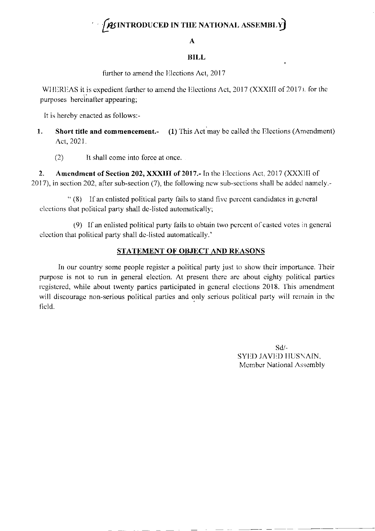# $\int$ *As* introduced in the national assembly)

#### A

#### **BILL**

further to amend the Elections Act, 2017

WHEREAS it is expedient further to amend the Elections Act, 2017 (XXXIII of 2017). for the purposes hereinafter appearing;

It is hereby enacted as follows:-

- **Short title and commencement.-** (1) This Act may be called the Elections (Amendment) 1. Act, 2021.
	- $(2)$ It shall come into force at once.

Amendment of Section 202, XXXIII of 2017.- In the Elections Act, 2017 (XXXIII of  $2.$ 2017), in section 202, after sub-section (7), the following new sub-sections shall be added namely.-

"(8) If an enlisted political party fails to stand five percent candidates in general elections that political party shall de-listed automatically;

(9) If an enlisted political party fails to obtain two percent of casted votes in general election that political party shall de-listed automatically.'

### STATEMENT OF OBJECT AND REASONS

In our country some people register a political party just to show their importance. Their purpose is not to run in general election. At present there are about eighty political parties registered, while about twenty parties participated in general elections 2018. This amendment will discourage non-serious political parties and only serious political party will remain in the field.

> $Sd/-$ SYED JAVED HUSNAIN, Member National Assembly